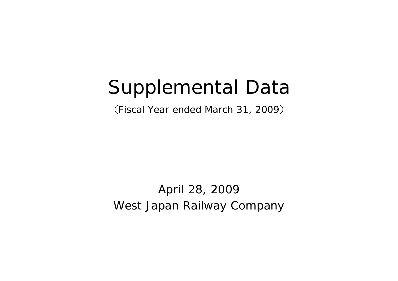# Supplemental Data

(Fiscal Year ended March 31, 2009 )

West Japan Railway Company April 28, 2009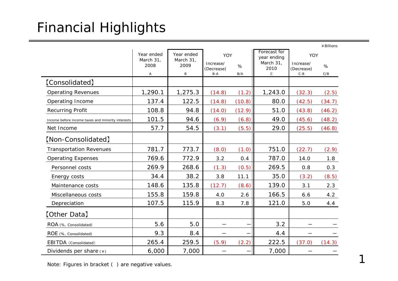## Financial Highlights

|                                                   |                                 |                                 |                                |        |                                                  |                                | ¥ Billions |
|---------------------------------------------------|---------------------------------|---------------------------------|--------------------------------|--------|--------------------------------------------------|--------------------------------|------------|
|                                                   | Year ended<br>March 31,<br>2008 | Year ended<br>March 31,<br>2009 | YOY<br>Increase/<br>(Decrease) | $\%$   | Forecast for<br>year ending<br>March 31,<br>2010 | YOY<br>Increase/<br>(Decrease) | %          |
|                                                   | Α                               | B                               | $B-A$                          | B/A    | $\mathsf C$                                      | $\mbox{C-B}$                   | C/B        |
| [Consolidated]                                    |                                 |                                 |                                |        |                                                  |                                |            |
| <b>Operating Revenues</b>                         | 1,290.1                         | 1,275.3                         | (14.8)                         | (1.2)  | 1,243.0                                          | (32.3)                         | (2.5)      |
| Operating Income                                  | 137.4                           | 122.5                           | (14.8)                         | (10.8) | 80.0                                             | (42.5)                         | (34.7)     |
| <b>Recurring Profit</b>                           | 108.8                           | 94.8                            | (14.0)                         | (12.9) | 51.0                                             | (43.8)                         | (46.2)     |
| Income before income taxes and minority interests | 101.5                           | 94.6                            | (6.9)                          | (6.8)  | 49.0                                             | (45.6)                         | (48.2)     |
| Net Income                                        | 57.7                            | 54.5                            | (3.1)                          | (5.5)  | 29.0                                             | (25.5)                         | (46.8)     |
| [Non-Consolidated]                                |                                 |                                 |                                |        |                                                  |                                |            |
| <b>Transportation Revenues</b>                    | 781.7                           | 773.7                           | (8.0)                          | (1.0)  | 751.0                                            | (22.7)                         | (2.9)      |
| <b>Operating Expenses</b>                         | 769.6                           | 772.9                           | 3.2                            | 0.4    | 787.0                                            | 14.0                           | 1.8        |
| Personnel costs                                   | 269.9                           | 268.6                           | (1.3)                          | (0.5)  | 269.5                                            | 0.8                            | 0.3        |
| Energy costs                                      | 34.4                            | 38.2                            | 3.8                            | 11.1   | 35.0                                             | (3.2)                          | (8.5)      |
| Maintenance costs                                 | 148.6                           | 135.8                           | (12.7)                         | (8.6)  | 139.0                                            | 3.1                            | 2.3        |
| Miscellaneous costs                               | 155.8                           | 159.8                           | 4.0                            | 2.6    | 166.5                                            | 6.6                            | 4.2        |
| Depreciation                                      | 107.5                           | 115.9                           | 8.3                            | 7.8    | 121.0                                            | 5.0                            | 4.4        |
| [Other Data]                                      |                                 |                                 |                                |        |                                                  |                                |            |
| ROA (%, Consolidated)                             | 5.6                             | 5.0                             |                                |        | 3.2                                              |                                |            |
| ROE (%, Consolidated)                             | 9.3                             | 8.4                             |                                |        | 4.4                                              |                                |            |
| EBITDA (Consolidated)                             | 265.4                           | 259.5                           | (5.9)                          | (2.2)  | 222.5                                            | (37.0)                         | (14.3)     |
| Dividends per share $(*)$                         | 6,000                           | 7,000                           |                                |        | 7,000                                            |                                |            |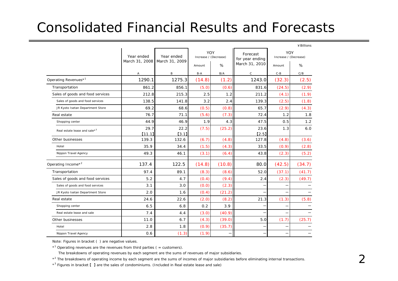#### Consolidated Financial Results and Forecasts

|                                          |                |                |                              |        |                             |                              | ¥Billions |  |
|------------------------------------------|----------------|----------------|------------------------------|--------|-----------------------------|------------------------------|-----------|--|
|                                          | Year ended     | Year ended     | YOY<br>Increase / (Decrease) |        | Forecast<br>for year ending | YOY<br>Increase / (Decrease) |           |  |
|                                          | March 31, 2008 | March 31, 2009 | Amount                       | %      | March 31, 2010              | Amount                       | %         |  |
|                                          | A              | B              | B-A                          | B/A    | $\mathsf{C}$                | $C - B$                      | C/B       |  |
| Operating Revenues* <sup>1</sup>         | 1290.1         | 1275.3         | (14.8)                       | (1.2)  | 1243.0                      | (32.3)                       | (2.5)     |  |
| Transportation                           | 861.2          | 856.1          | (5.0)                        | (0.6)  | 831.6                       | (24.5)                       | (2.9)     |  |
| Sales of goods and food services         | 212.8          | 215.3          | 2.5                          | 1.2    | 211.2                       | (4.1)                        | (1.9)     |  |
| Sales of goods and food services         | 138.5          | 141.8          | 3.2                          | 2.4    | 139.3                       | (2.5)                        | (1.8)     |  |
| JR Kyoto Isetan Department Store         | 69.2           | 68.6           | (0.5)                        | (0.8)  | 65.7                        | (2.9)                        | (4.3)     |  |
| Real estate                              | 76.7           | 71.1           | (5.6)                        | (7.3)  | 72.4                        | 1.2                          | 1.8       |  |
| Shopping center                          | 44.9           | 46.9           | 1.9                          | 4.3    | 47.5                        | 0.5                          | 1.2       |  |
| Real estate lease and sale* <sup>3</sup> | 29.7           | 22.2           | (7.5)                        | (25.2) | 23.6                        | 1.3                          | 6.0       |  |
|                                          | [11.1]         | [3.1]          |                              |        | [2.5]                       |                              |           |  |
| Other businesses                         | 139.3          | 132.6          | (6.7)                        | (4.8)  | 127.8                       | (4.8)                        | (3.6)     |  |
| Hotel                                    | 35.9           | 34.4           | (1.5)                        | (4.3)  | 33.5                        | (0.9)                        | (2.8)     |  |
| Nippon Travel Agency                     | 49.3           | 46.1           | (3.1)                        | (6.4)  | 43.8                        | (2.3)                        | (5.2)     |  |
| Operating Income* <sup>2</sup>           | 137.4          | 122.5          | (14.8)                       | (10.8) | 80.0                        | (42.5)                       | (34.7)    |  |
| Transportation                           | 97.4           | 89.1           | (8.3)                        | (8.6)  | 52.0                        | (37.1)                       | (41.7)    |  |
| Sales of goods and food services         | 5.2            | 4.7            | (0.4)                        | (9.4)  | 2.4                         | (2.3)                        | (49.7)    |  |
| Sales of goods and food services         | 3.1            | 3.0            | (0.0)                        | (2.3)  |                             | —                            |           |  |
| JR Kyoto Isetan Department Store         | 2.0            | 1.6            | (0.4)                        | (21.2) |                             | —                            |           |  |
| Real estate                              | 24.6           | 22.6           | (2.0)                        | (8.2)  | 21.3                        | (1.3)                        | (5.8)     |  |
| Shopping center                          | 6.5            | 6.8            | 0.2                          | 3.9    |                             | $\overline{\phantom{0}}$     |           |  |
| Real estate lease and sale               | 7.4            | 4.4            | (3.0)                        | (40.9) |                             | $\overline{\phantom{0}}$     |           |  |
| Other businesses                         | 11.0           | 6.7            | (4.3)                        | (39.0) | 5.0                         | (1.7)                        | (25.7)    |  |
| Hotel                                    | 2.8            | 1.8            | (0.9)                        | (35.7) |                             |                              |           |  |
| Nippon Travel Agency                     | 0.6            | (1.3)          | (1.9)                        |        |                             |                              |           |  |

Note: Figures in bracket ( ) are negative values.

 $*$ <sup>1</sup> Operating revenues are the revenues from third parties ( = customers).

The breakdowns of operating revenues by each segment are the sums of revenues of major subsidiaries.

\*<sup>2</sup> The breakdowns of operating income by each segment are the sums of incomes of major subsidiaries before eliminating internal transactions.

\*<sup>3</sup> Figures in bracket [ ] are the sales of condominiums. (Included in Real estate lease and sale)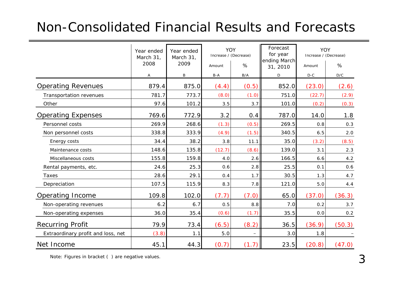#### Non-Consolidated Financial Results and Forecasts

|                                    | Year ended<br>March 31,<br>2008 | Year ended<br>March 31,<br>2009 | YOY<br>Increase / (Decrease)<br>Amount | %                 | Forecast<br>for year<br>ending March | YOY<br>Increase / (Decrease)<br>%<br>Amount |                         |
|------------------------------------|---------------------------------|---------------------------------|----------------------------------------|-------------------|--------------------------------------|---------------------------------------------|-------------------------|
|                                    | Α                               | B                               | $B-A$                                  | B/A               | 31, 2010<br>D                        | $D-C$                                       | $\mathsf{D}/\mathsf{C}$ |
| <b>Operating Revenues</b>          | 879.4                           | 875.0                           | (4.4)                                  | (0.5)             | 852.0                                | (23.0)                                      | (2.6)                   |
| Transportation revenues            | 781.7                           | 773.7                           | (8.0)                                  | (1.0)             | 751.0                                | (22.7)                                      | (2.9)                   |
| Other                              | 97.6                            | 101.2                           | 3.5                                    | 3.7               | 101.0                                | (0.2)                                       | (0.3)                   |
| <b>Operating Expenses</b>          | 769.6                           | 772.9                           | 3.2                                    | 0.4               | 787.0                                | 14.0                                        | 1.8                     |
| Personnel costs                    | 269.9                           | 268.6                           | (1.3)                                  | (0.5)             | 269.5                                | 0.8                                         | 0.3                     |
| Non personnel costs                | 338.8                           | 333.9                           | (4.9)                                  | (1.5)             | 340.5                                | 6.5                                         | 2.0                     |
| Energy costs                       | 34.4                            | 38.2                            | 3.8                                    | 11.1              | 35.0                                 | (3.2)                                       | (8.5)                   |
| Maintenance costs                  | 148.6                           | 135.8                           | (12.7)                                 | (8.6)             | 139.0                                | 3.1                                         | 2.3                     |
| Miscellaneous costs                | 155.8                           | 159.8                           | 4.0                                    | 2.6               | 166.5                                | 6.6                                         | 4.2                     |
| Rental payments, etc.              | 24.6                            | 25.3                            | 0.6                                    | 2.8               | 25.5                                 | 0.1                                         | 0.6                     |
| Taxes                              | 28.6                            | 29.1                            | 0.4                                    | 1.7               | 30.5                                 | 1.3                                         | 4.7                     |
| Depreciation                       | 107.5                           | 115.9                           | 8.3                                    | 7.8               | 121.0                                | 5.0                                         | 4.4                     |
| Operating Income                   | 109.8                           | 102.0                           | (7.7)                                  | (7.0)             | 65.0                                 | (37.0)                                      | (36.3)                  |
| Non-operating revenues             | 6.2                             | 6.7                             | 0.5                                    | 8.8               | 7.0                                  | 0.2                                         | 3.7                     |
| Non-operating expenses             | 36.0                            | 35.4                            | (0.6)                                  | (1.7)             | 35.5                                 | 0.0                                         | 0.2                     |
| <b>Recurring Profit</b>            | 79.9                            | 73.4                            | (6.5)                                  | (8.2)             | 36.5                                 | (36.9)                                      | (50.3)                  |
| Extraordinary profit and loss, net | (3.8)                           | 1.1                             | 5.0                                    | $\qquad \qquad -$ | 3.0                                  | 1.8                                         |                         |
| Net Income                         | 45.1                            | 44.3                            | (0.7)                                  | (1.7)             | 23.5                                 | (20.8)                                      | (47.0)                  |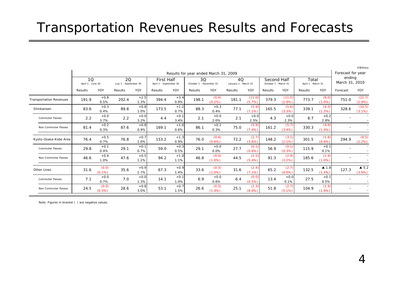#### Transportation Revenues Results and Forecasts

|                                |                                       |                    |                             |                |                                             |                |         |                                  |         |                         |         |                    |                   |                                   |                          | ¥ Billions                        |  |  |  |  |  |  |  |                                     |                             |  |                          |  |
|--------------------------------|---------------------------------------|--------------------|-----------------------------|----------------|---------------------------------------------|----------------|---------|----------------------------------|---------|-------------------------|---------|--------------------|-------------------|-----------------------------------|--------------------------|-----------------------------------|--|--|--|--|--|--|--|-------------------------------------|-----------------------------|--|--------------------------|--|
|                                | Results for year ended March 31, 2009 |                    |                             |                |                                             |                |         |                                  |         |                         |         |                    | Forecast for year |                                   |                          |                                   |  |  |  |  |  |  |  |                                     |                             |  |                          |  |
|                                | 10<br>April 1 - June 30               |                    | 20<br>July 1 - September 30 |                | <b>First Half</b><br>April 1 - September 30 |                |         | 40<br>3Q<br>January 1 - March 31 |         | October 1 - December 31 |         |                    |                   |                                   |                          |                                   |  |  |  |  |  |  |  | Second Half<br>October 1 - March 31 | Total<br>April 1 - March 31 |  | ending<br>March 31, 2010 |  |
|                                | Results                               | YOY                | Results                     | YOY            | Results                                     | YOY            | Results | YOY                              | Results | <b>YOY</b>              | Results | YOY                | Results           | <b>YOY</b>                        | Forecast                 | <b>YOY</b>                        |  |  |  |  |  |  |  |                                     |                             |  |                          |  |
| <b>Transportation Revenues</b> | 191.9                                 | $+0.8$<br>0.5%     | 202.4                       | $+2.5$<br>1.3% | 394.4                                       | $+3.4$<br>0.9% | 198.1   | (0.4)<br>(0.2%)                  | 181.1   | (11.0)<br>(5.7%)        | 379.3   | (11.5)<br>(2.9%    | 773.7             | (8.0)<br>$(1.0\%)$                | 751.0                    | (22.7)<br>(2.9%)                  |  |  |  |  |  |  |  |                                     |                             |  |                          |  |
| Shinkansen                     | 83.6                                  | $+0.3$<br>0.4%     | 89.8                        | $+0.8$<br>1.0% | 173.5                                       | $+1.2$<br>0.7% | 88.3    | $+0.3$<br>0.4%                   | 77.1    | (5.9)<br>$(7.1\%)$      | 165.5   | (5.6)<br>(3.3%)    | 339.1             | (4.3)<br>(1.3%)                   | 328.6                    | (10.5)<br>(3.1%)                  |  |  |  |  |  |  |  |                                     |                             |  |                          |  |
| <b>Commuter Passes</b>         | 2.2                                   | $+0.0$<br>3.7%     | 2.2                         | $+0.0$<br>3.2% | 4.4                                         | $+0.1$<br>3.4% | 2.1     | $+0.0$<br>2.0%                   | 2.1     | $+0.0$<br>2.5%          | 4.3     | $+0.0$<br>2.3%     | 8.7               | $+0.2$<br>2.8%                    |                          |                                   |  |  |  |  |  |  |  |                                     |                             |  |                          |  |
| Non-Commuter Passes            | 81.4                                  | $+0.2$<br>0.3%     | 87.6                        | $+0.8$<br>0.9% | 169.1                                       | $+1.0$<br>0.6% | 86.1    | $+0.2$<br>0.3%                   | 75.0    | (5.9)<br>$(7.4\%)$      | 161.2   | (5.7)<br>(3.4%)    | 330.3             | (4.6)<br>$(1.4\%)$                | $\overline{\phantom{0}}$ |                                   |  |  |  |  |  |  |  |                                     |                             |  |                          |  |
| Kyoto-Osaka-Kobe Area          | 76.4                                  | $+0.5$<br>0.7%     | 76.8                        | $+0.7$<br>1.0% | 153.2                                       | $+1.3$<br>0.9% | 76.0    | (0.4)<br>(0.6%                   | 72.2    | (2.7)<br>(3.6%)         | 148.2   | (3.1)<br>(2.1%)    | 301.5             | (1.8)<br>$(0.6\%)$                | 294.9                    | (6.5)<br>(2.2%)                   |  |  |  |  |  |  |  |                                     |                             |  |                          |  |
| <b>Commuter Passes</b>         | 29.8                                  | $+0.1$<br>0.4%     | 29.1                        | $+0.1$<br>0.7% | 59.0                                        | $+0.3$<br>0.5% | 29.1    | $+0.0$<br>0.0%                   | 27.7    | (0.1)<br>(0.6%)         | 56.9    | (0.1)<br>(0.3%)    | 115.9             | $+0.1$<br>0.1%                    |                          |                                   |  |  |  |  |  |  |  |                                     |                             |  |                          |  |
| Non-Commuter Passes            | 46.6                                  | $+0.4$<br>1.0%     | 47.6                        | $+0.5$<br>1.2% | 94.2                                        | $+1.0$<br>1.1% | 46.8    | (0.4)<br>$(1.0\%)$               | 44.5    | (2.5)<br>$(5.4\%)$      | 91.3    | (2.9)<br>(3.2%)    | 185.6             | (1.9)<br>$(1.0\%)$                |                          |                                   |  |  |  |  |  |  |  |                                     |                             |  |                          |  |
| Other Lines                    | 31.6                                  | (0.0)<br>$(0.1\%)$ | 35.6                        | $+0.9$<br>2.7% | 67.3                                        | $+0.9$<br>1.4% | 33.6    | (0.3)<br>$(1.0\%)$               | 31.6    | (2.4)<br>$(7.1\%)$      | 65.2    | (2.7)<br>$(4.0\%)$ | 132.5             | $\blacktriangle$ 1.8<br>$(1.4\%)$ | 127.3                    | $\blacktriangle$ 5.2<br>$(3.9\%)$ |  |  |  |  |  |  |  |                                     |                             |  |                          |  |
| <b>Commuter Passes</b>         | 7.1                                   | $+0.0$<br>0.7%     | 7.0                         | $+0.0$<br>1.3% | 14.1                                        | $+0.1$<br>1.0% | 6.9     | $+0.0$<br>0.6%                   | 6.4     | (0.0)<br>(0.5%)         | 13.4    | $+0.0$<br>0.1%     | 27.5              | $+0.1$<br>0.5%                    | $\overline{\phantom{0}}$ |                                   |  |  |  |  |  |  |  |                                     |                             |  |                          |  |
| Non-Commuter Passes            | 24.5                                  | (0.0)<br>(0.3%)    | 28.6                        | $+0.8$<br>3.0% | 53.1                                        | $+0.7$<br>1.5% | 26.6    | (0.3)<br>$(1.4\%)$               | 25.1    | (2.3)<br>$(8.6\%)$      | 51.8    | (2.7)<br>$(5.1\%)$ | 104.9             | (1.9)<br>$(1.9\%)$                |                          |                                   |  |  |  |  |  |  |  |                                     |                             |  |                          |  |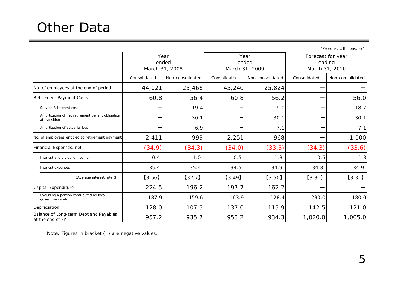### Other Data

|                                                                    |              |                         |              |                         |                                               | (Persons, ¥Billions, %) |  |
|--------------------------------------------------------------------|--------------|-------------------------|--------------|-------------------------|-----------------------------------------------|-------------------------|--|
|                                                                    | Year         | ended<br>March 31, 2008 | Year         | ended<br>March 31, 2009 | Forecast for year<br>ending<br>March 31, 2010 |                         |  |
|                                                                    | Consolidated | Non-consolidated        | Consolidated | Non-consolidated        | Consolidated                                  | Non-consolidated        |  |
| No. of employees at the end of period                              | 44,021       | 25,466                  | 45,240       | 25,824                  |                                               |                         |  |
| <b>Retirement Payment Costs</b>                                    | 60.8         | 56.4                    | 60.8         | 56.2                    |                                               | 56.0                    |  |
| Service & Interest cost                                            |              | 19.4                    |              | 19.0                    |                                               | 18.7                    |  |
| Amortization of net retirement benefit obligation<br>at transition |              | 30.1                    |              | 30.1                    |                                               | 30.1                    |  |
| Amortization of actuarial loss                                     |              | 6.9                     |              | 7.1                     |                                               | 7.1                     |  |
| No. of employees entitled to retirement payment                    | 2,411        | 999                     | 2,251        | 968                     | -                                             | 1,000                   |  |
| Financial Expenses, net                                            | (34.9)       | (34.3)                  | (34.0)       | (33.5)                  | (34.3)                                        | (33.6)                  |  |
| Interest and dividend income                                       | 0.4          | 1.0                     | 0.5          | 1.3                     | 0.5                                           | 1.3                     |  |
| Interest expenses                                                  | 35.4         | 35.4                    | 34.5         | 34.9                    | 34.8                                          | 34.9                    |  |
| [Average interest rate %]                                          | [3.56]       | $[3.57]$                | [3.49]       | $[3.50]$                | [3.31]                                        | [3.31]                  |  |
| Capital Expenditure                                                | 224.5        | 196.2                   | 197.7        | 162.2                   |                                               |                         |  |
| Excluding a portion contributed by local<br>governments etc.       | 187.9        | 159.6                   | 163.9        | 128.4                   | 230.0                                         | 180.0                   |  |
| Depreciation                                                       | 128.0        | 107.5                   | 137.0        | 115.9                   | 142.5                                         | 121.0                   |  |
| Balance of Long-term Debt and Payables<br>at the end of FY         | 957.2        | 935.7                   | 953.2        | 934.3                   | 1,020.0                                       | 1,005.0                 |  |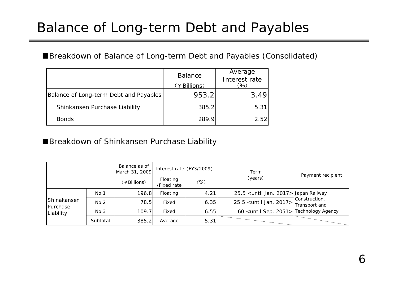### Balance of Long-term Debt and Payables

#### ■Breakdown of Balance of Long-term Debt and Payables (Consolidated)

|                                        | <b>Balance</b><br>(¥Billions) | Average<br>Interest rate<br>(96) |
|----------------------------------------|-------------------------------|----------------------------------|
| Balance of Long-term Debt and Payables | 953.2                         | 3.49                             |
| Shinkansen Purchase Liability          | 385.2                         | 5.31                             |
| <b>Bonds</b>                           | 289.9                         | 2.52                             |

#### ■Breakdown of Shinkansen Purchase Liability

|                         |          | Balance as of<br>March 31, 2009 | Interest rate (FY3/2009) |        | Term                                                                                         | Payment recipient |  |
|-------------------------|----------|---------------------------------|--------------------------|--------|----------------------------------------------------------------------------------------------|-------------------|--|
|                         |          | (¥Billions)                     | Floating<br>/Fixed rate  | $(\%)$ | (years)                                                                                      |                   |  |
|                         | No.1     | 196.8                           | Floating                 | 4.21   | 25.5 <until 2017="" jan.=""> Japan Railway</until>                                           |                   |  |
| Shinakansen<br>Purchase | No.2     | 78.5                            | Fixed                    | 6.35   | $25.5$ <until <math="" jan.="">2017&gt;<math>\frac{30100}{1000}</math> Transport and</until> | Construction,     |  |
| Liability               | No.3     | 109.7                           | Fixed                    | 6.55   | 60 <until 2051="" sep.=""> Technology Agency</until>                                         |                   |  |
|                         | Subtotal | 385.2                           | Average                  | 5.31   |                                                                                              |                   |  |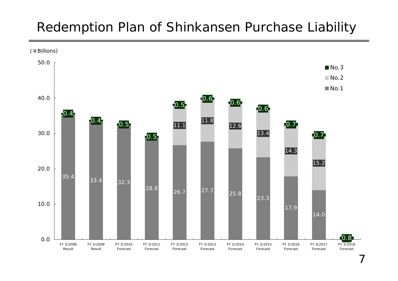#### Redemption Plan of Shinkansen Purchase Liability